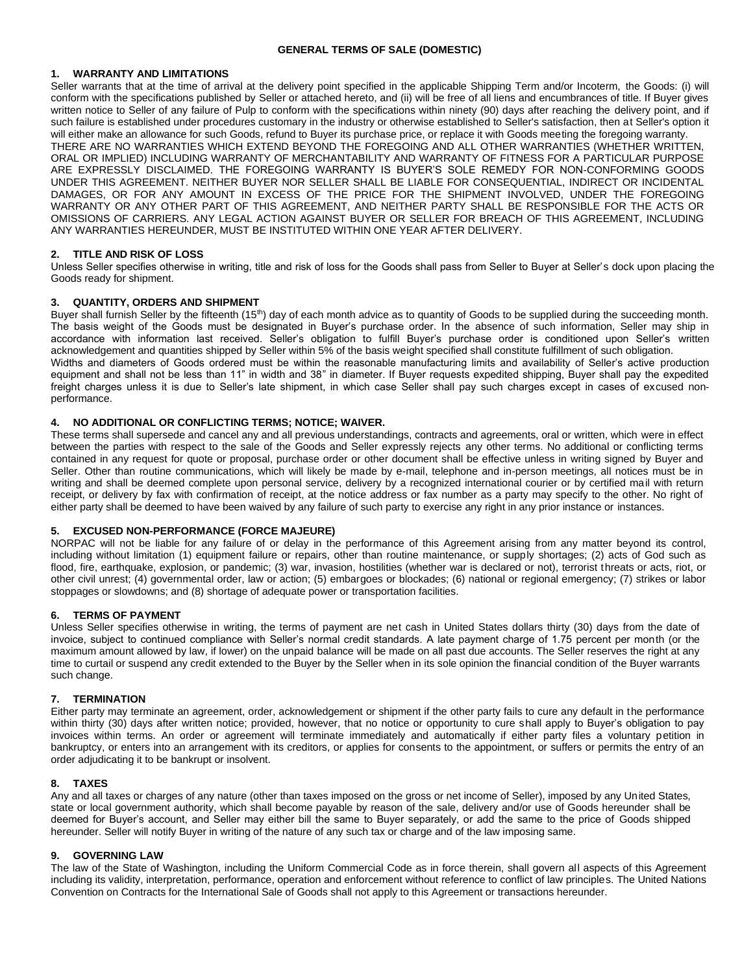#### **GENERAL TERMS OF SALE (DOMESTIC)**

#### **1. WARRANTY AND LIMITATIONS**

Seller warrants that at the time of arrival at the delivery point specified in the applicable Shipping Term and/or Incoterm, the Goods: (i) will conform with the specifications published by Seller or attached hereto, and (ii) will be free of all liens and encumbrances of title. If Buyer gives written notice to Seller of any failure of Pulp to conform with the specifications within ninety (90) days after reaching the delivery point, and if such failure is established under procedures customary in the industry or otherwise established to Seller's satisfaction, then at Seller's option it will either make an allowance for such Goods, refund to Buyer its purchase price, or replace it with Goods meeting the foregoing warranty. THERE ARE NO WARRANTIES WHICH EXTEND BEYOND THE FOREGOING AND ALL OTHER WARRANTIES (WHETHER WRITTEN, ORAL OR IMPLIED) INCLUDING WARRANTY OF MERCHANTABILITY AND WARRANTY OF FITNESS FOR A PARTICULAR PURPOSE ARE EXPRESSLY DISCLAIMED. THE FOREGOING WARRANTY IS BUYER'S SOLE REMEDY FOR NON-CONFORMING GOODS UNDER THIS AGREEMENT. NEITHER BUYER NOR SELLER SHALL BE LIABLE FOR CONSEQUENTIAL, INDIRECT OR INCIDENTAL DAMAGES, OR FOR ANY AMOUNT IN EXCESS OF THE PRICE FOR THE SHIPMENT INVOLVED, UNDER THE FOREGOING WARRANTY OR ANY OTHER PART OF THIS AGREEMENT, AND NEITHER PARTY SHALL BE RESPONSIBLE FOR THE ACTS OR OMISSIONS OF CARRIERS. ANY LEGAL ACTION AGAINST BUYER OR SELLER FOR BREACH OF THIS AGREEMENT, INCLUDING ANY WARRANTIES HEREUNDER, MUST BE INSTITUTED WITHIN ONE YEAR AFTER DELIVERY.

## **2. TITLE AND RISK OF LOSS**

Unless Seller specifies otherwise in writing, title and risk of loss for the Goods shall pass from Seller to Buyer at Seller's dock upon placing the Goods ready for shipment.

#### **3. QUANTITY, ORDERS AND SHIPMENT**

Buyer shall furnish Seller by the fifteenth (15<sup>th</sup>) day of each month advice as to quantity of Goods to be supplied during the succeeding month. The basis weight of the Goods must be designated in Buyer's purchase order. In the absence of such information, Seller may ship in accordance with information last received. Seller's obligation to fulfill Buyer's purchase order is conditioned upon Seller's written acknowledgement and quantities shipped by Seller within 5% of the basis weight specified shall constitute fulfillment of such obligation. Widths and diameters of Goods ordered must be within the reasonable manufacturing limits and availability of Seller's active production equipment and shall not be less than 11" in width and 38" in diameter. If Buyer requests expedited shipping, Buyer shall pay the expedited freight charges unless it is due to Seller's late shipment, in which case Seller shall pay such charges except in cases of excused nonperformance.

## **4. NO ADDITIONAL OR CONFLICTING TERMS; NOTICE; WAIVER.**

These terms shall supersede and cancel any and all previous understandings, contracts and agreements, oral or written, which were in effect between the parties with respect to the sale of the Goods and Seller expressly rejects any other terms. No additional or conflicting terms contained in any request for quote or proposal, purchase order or other document shall be effective unless in writing signed by Buyer and Seller. Other than routine communications, which will likely be made by e-mail, telephone and in-person meetings, all notices must be in writing and shall be deemed complete upon personal service, delivery by a recognized international courier or by certified mail with return receipt, or delivery by fax with confirmation of receipt, at the notice address or fax number as a party may specify to the other. No right of either party shall be deemed to have been waived by any failure of such party to exercise any right in any prior instance or instances.

#### **5. EXCUSED NON-PERFORMANCE (FORCE MAJEURE)**

NORPAC will not be liable for any failure of or delay in the performance of this Agreement arising from any matter beyond its control, including without limitation (1) equipment failure or repairs, other than routine maintenance, or supply shortages; (2) acts of God such as flood, fire, earthquake, explosion, or pandemic; (3) war, invasion, hostilities (whether war is declared or not), terrorist threats or acts, riot, or other civil unrest; (4) governmental order, law or action; (5) embargoes or blockades; (6) national or regional emergency; (7) strikes or labor stoppages or slowdowns; and (8) shortage of adequate power or transportation facilities.

#### **6. TERMS OF PAYMENT**

Unless Seller specifies otherwise in writing, the terms of payment are net cash in United States dollars thirty (30) days from the date of invoice, subject to continued compliance with Seller's normal credit standards. A late payment charge of 1.75 percent per month (or the maximum amount allowed by law, if lower) on the unpaid balance will be made on all past due accounts. The Seller reserves the right at any time to curtail or suspend any credit extended to the Buyer by the Seller when in its sole opinion the financial condition of the Buyer warrants such change.

#### **7. TERMINATION**

Either party may terminate an agreement, order, acknowledgement or shipment if the other party fails to cure any default in the performance within thirty (30) days after written notice; provided, however, that no notice or opportunity to cure shall apply to Buyer's obligation to pay invoices within terms. An order or agreement will terminate immediately and automatically if either party files a voluntary petition in bankruptcy, or enters into an arrangement with its creditors, or applies for consents to the appointment, or suffers or permits the entry of an order adjudicating it to be bankrupt or insolvent.

#### **8. TAXES**

Any and all taxes or charges of any nature (other than taxes imposed on the gross or net income of Seller), imposed by any United States, state or local government authority, which shall become payable by reason of the sale, delivery and/or use of Goods hereunder shall be deemed for Buyer's account, and Seller may either bill the same to Buyer separately, or add the same to the price of Goods shipped hereunder. Seller will notify Buyer in writing of the nature of any such tax or charge and of the law imposing same.

## **9. GOVERNING LAW**

The law of the State of Washington, including the Uniform Commercial Code as in force therein, shall govern all aspects of this Agreement including its validity, interpretation, performance, operation and enforcement without reference to conflict of law principles. The United Nations Convention on Contracts for the International Sale of Goods shall not apply to this Agreement or transactions hereunder.